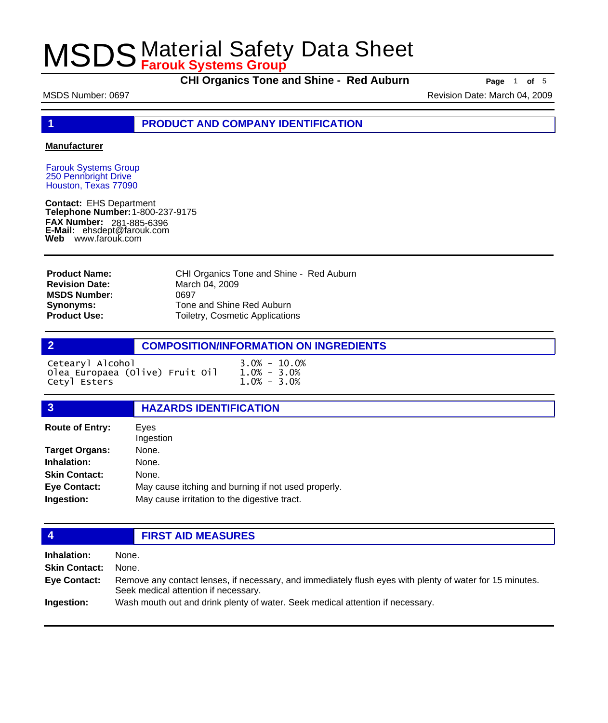**CHI Organics Tone and Shine - Red Auburn Page** <sup>1</sup> **of** <sup>5</sup>

MSDS Number: 0697 **Revision Date: March 04, 2009** Revision Date: March 04, 2009

**1 PRODUCT AND COMPANY IDENTIFICATION**

### **Manufacturer**

Farouk Systems Group 250 Pennbright Drive Houston, Texas 77090

**Contact:** EHS Department **Telephone Number:** 1-800-237-9175 **FAX Number: FAX Number:** 281-885-6396<br>**E-Mail:** ehsdept@farouk.com **Web** www.farouk.com

CHI Organics Tone and Shine - Red Auburn March 04, 2009 0697 Tone and Shine Red Auburn Toiletry, Cosmetic Applications **Product Name: Revision Date: MSDS Number: Synonyms: Product Use:**

## **2 COMPOSITION/INFORMATION ON INGREDIENTS**  $\sim$  10.0% - 10.0% - 10.0%

| Cetearyl Alconol                |                 | 3.U% - 10.U%    |
|---------------------------------|-----------------|-----------------|
| Olea Europaea (Olive) Fruit Oil |                 | $1.0\% - 3.0\%$ |
| Cetyl Esters                    | $1.0\% - 3.0\%$ |                 |

## **3 HAZARDS IDENTIFICATION**

| Eves<br>Ingestion                                   |
|-----------------------------------------------------|
| None.                                               |
| None.                                               |
| None.                                               |
| May cause itching and burning if not used properly. |
| May cause irritation to the digestive tract.        |
|                                                     |

## **4 FIRST AID MEASURES**

**Inhalation:** None. **Skin Contact:** None. Remove any contact lenses, if necessary, and immediately flush eyes with plenty of water for 15 minutes. Seek medical attention if necessary. **Eye Contact: Ingestion:** Wash mouth out and drink plenty of water. Seek medical attention if necessary.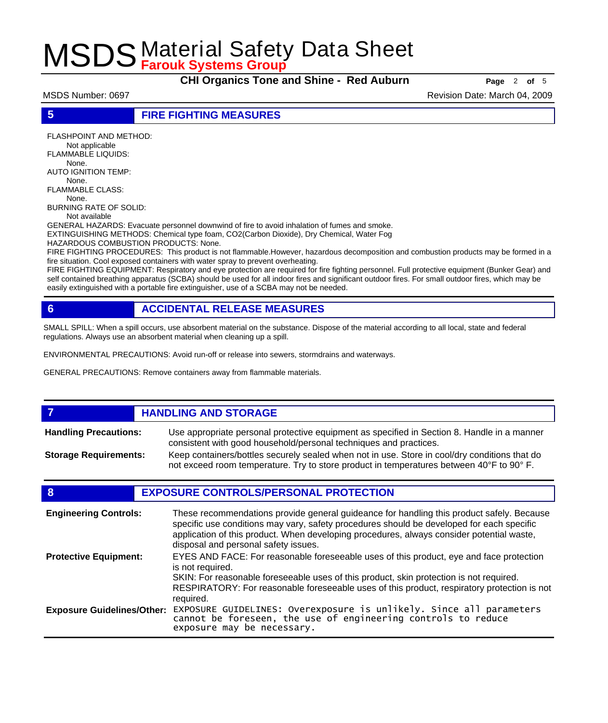**CHI Organics Tone and Shine - Red Auburn Page** <sup>2</sup> **of** <sup>5</sup>

MSDS Number: 0697 **Revision Date: March 04, 2009** Revision Date: March 04, 2009

**5 FIRE FIGHTING MEASURES**

FLASHPOINT AND METHOD: Not applicable FLAMMABLE LIQUIDS: None. AUTO IGNITION TEMP: None. FLAMMABLE CLASS: None. BURNING RATE OF SOLID:

Not available

GENERAL HAZARDS: Evacuate personnel downwind of fire to avoid inhalation of fumes and smoke. EXTINGUISHING METHODS: Chemical type foam, CO2(Carbon Dioxide), Dry Chemical, Water Fog

HAZARDOUS COMBUSTION PRODUCTS: None.

FIRE FIGHTING PROCEDURES: This product is not flammable.However, hazardous decomposition and combustion products may be formed in a fire situation. Cool exposed containers with water spray to prevent overheating.

FIRE FIGHTING EQUIPMENT: Respiratory and eye protection are required for fire fighting personnel. Full protective equipment (Bunker Gear) and self contained breathing apparatus (SCBA) should be used for all indoor fires and significant outdoor fires. For small outdoor fires, which may be easily extinguished with a portable fire extinguisher, use of a SCBA may not be needed.

## **6 ACCIDENTAL RELEASE MEASURES**

SMALL SPILL: When a spill occurs, use absorbent material on the substance. Dispose of the material according to all local, state and federal regulations. Always use an absorbent material when cleaning up a spill.

ENVIRONMENTAL PRECAUTIONS: Avoid run-off or release into sewers, stormdrains and waterways.

GENERAL PRECAUTIONS: Remove containers away from flammable materials.

### *HANDLING AND STORAGE* Use appropriate personal protective equipment as specified in Section 8. Handle in a manner consistent with good household/personal techniques and practices. **Handling Precautions:** Keep containers/bottles securely sealed when not in use. Store in cool/dry conditions that do not exceed room temperature. Try to store product in temperatures between 40°F to 90° F. **Storage Requirements:**

## **8 EXPOSURE CONTROLS/PERSONAL PROTECTION**

| <b>Engineering Controls:</b>      | These recommendations provide general guideance for handling this product safely. Because<br>specific use conditions may vary, safety procedures should be developed for each specific<br>application of this product. When developing procedures, always consider potential waste,<br>disposal and personal safety issues. |
|-----------------------------------|-----------------------------------------------------------------------------------------------------------------------------------------------------------------------------------------------------------------------------------------------------------------------------------------------------------------------------|
| <b>Protective Equipment:</b>      | EYES AND FACE: For reasonable foreseeable uses of this product, eye and face protection<br>is not required.<br>SKIN: For reasonable foreseeable uses of this product, skin protection is not required.<br>RESPIRATORY: For reasonable foreseeable uses of this product, respiratory protection is not<br>required.          |
| <b>Exposure Guidelines/Other:</b> | EXPOSURE GUIDELINES: Overexposure is unlikely. Since all parameters cannot be foreseen, the use of engineering controls to reduce<br>exposure may be necessary.                                                                                                                                                             |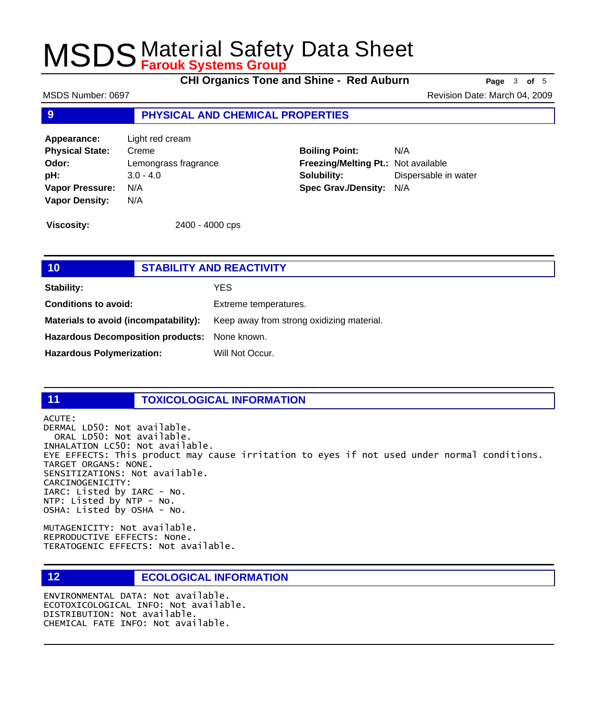**CHI Organics Tone and Shine - Red Auburn Page** <sup>3</sup> **of** <sup>5</sup>

MSDS Number: 0697 **Revision Date: March 04, 2009** Revision Date: March 04, 2009

## **9 PHYSICAL AND CHEMICAL PROPERTIES**

**Appearance:** Light red cream **Physical State:** Creme **Odor:** Lemongrass fragrance **pH:** 3.0 - 4.0 **Vapor Pressure:** N/A **Vapor Density:** N/A

**Boiling Point:** N/A **Freezing/Melting Pt.:** Not available **Solubility:** Dispersable in water **Spec Grav./Density:** N/A

**Viscosity:** 2400 - 4000 cps

## **10 STABILITY AND REACTIVITY Stability:** YES **Conditions to avoid:** Extreme temperatures. Materials to avoid (incompatability): Keep away from strong oxidizing material. **Hazardous Decomposition products:** None known. Hazardous Polymerization: Will Not Occur.

### **11 TOXICOLOGICAL INFORMATION**

ACUTE:

DERMAL LD50: Not available. ORAL LD50: Not available. INHALATION LC50: Not available. EYE EFFECTS: This product may cause irritation to eyes if not used under normal conditions. TARGET ORGANS: NONE. SENSITIZATIONS: Not available. CARCINOGENICITY: IARC: Listed by IARC - No. NTP: Listed by NTP - No. OSHA: Listed by OSHA - No.

MUTAGENICITY: Not available. REPRODUCTIVE EFFECTS: None. TERATOGENIC EFFECTS: Not available.

## **12 ECOLOGICAL INFORMATION**

ENVIRONMENTAL DATA: Not available. ECOTOXICOLOGICAL INFO: Not available. DISTRIBUTION: Not available. CHEMICAL FATE INFO: Not available.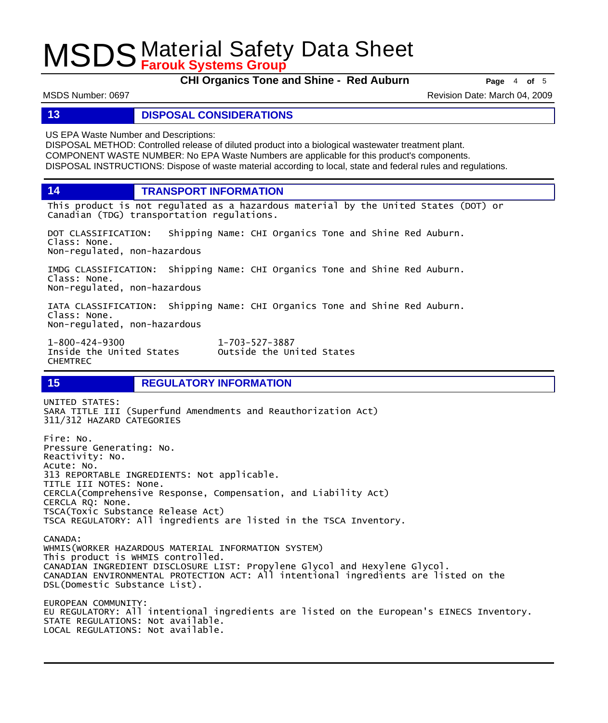**CHI Organics Tone and Shine - Red Auburn Page** <sup>4</sup> **of** <sup>5</sup>

MSDS Number: 0697 **Revision Date: March 04, 2009** Revision Date: March 04, 2009

## **13 DISPOSAL CONSIDERATIONS**

US EPA Waste Number and Descriptions:

DISPOSAL METHOD: Controlled release of diluted product into a biological wastewater treatment plant. COMPONENT WASTE NUMBER: No EPA Waste Numbers are applicable for this product's components. DISPOSAL INSTRUCTIONS: Dispose of waste material according to local, state and federal rules and regulations.

**14 TRANSPORT INFORMATION**

This product is not regulated as a hazardous material by the United States (DOT) or Canadian (TDG) transportation regulations.

DOT CLASSIFICATION: Shipping Name: CHI Organics Tone and Shine Red Auburn. Class: None. Non-regulated, non-hazardous

IMDG CLASSIFICATION: Shipping Name: CHI Organics Tone and Shine Red Auburn. Class: None. Non-regulated, non-hazardous

IATA CLASSIFICATION: Shipping Name: CHI Organics Tone and Shine Red Auburn. Class: None. Non-regulated, non-hazardous

1-800-424-9300 1-703-527-3887 CHEMTREC

Outside the United States

## **15 REGULATORY INFORMATION**

UNITED STATES: SARA TITLE III (Superfund Amendments and Reauthorization Act) 311/312 HAZARD CATEGORIES Fire: No. Pressure Generating: No. Reactivity: No. Acute: No. 313 REPORTABLE INGREDIENTS: Not applicable. TITLE III NOTES: None. CERCLA(Comprehensive Response, Compensation, and Liability Act) CERCLA RQ: None. TSCA(Toxic Substance Release Act) TSCA REGULATORY: All ingredients are listed in the TSCA Inventory. CANADA: WHMIS(WORKER HAZARDOUS MATERIAL INFORMATION SYSTEM) This product is WHMIS controlled. CANADIAN INGREDIENT DISCLOSURE LIST: Propylene Glycol and Hexylene Glycol. CANADIAN ENVIRONMENTAL PROTECTION ACT: All intentional ingredients are listed on the DSL(Domestic Substance List). EUROPEAN COMMUNITY: EU REGULATORY: All intentional ingredients are listed on the European's EINECS Inventory. STATE REGULATIONS: Not available. LOCAL REGULATIONS: Not available.